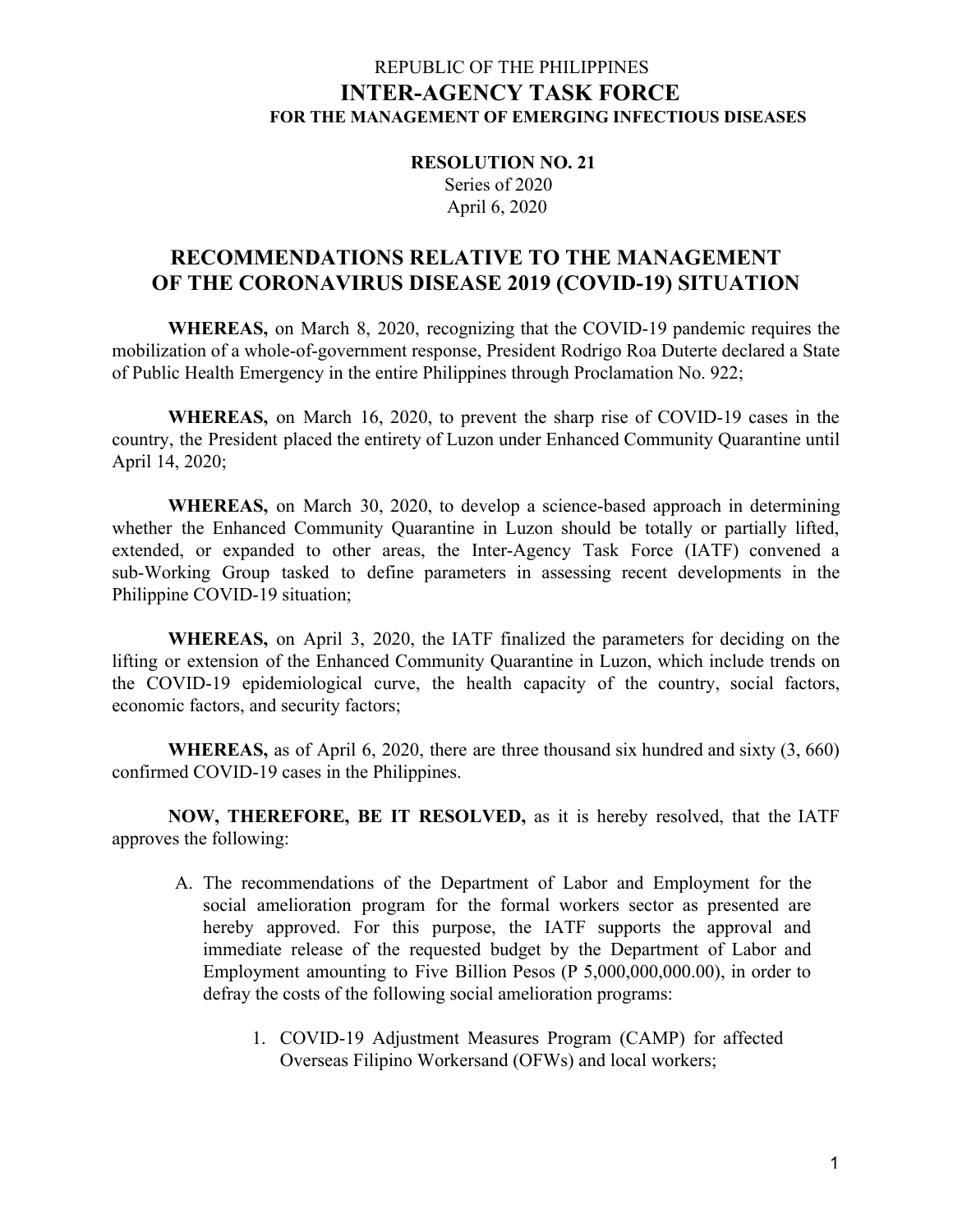#### REPUBLIC OF THE PHILIPPINES **INTER-AGENCY TASK FORCE FOR THE MANAGEMENT OF EMERGING INFECTIOUS DISEASES**

**RESOLUTION NO. 21** Series of 2020 April 6, 2020

## **RECOMMENDATIONS RELATIVE TO THE MANAGEMENT OF THE CORONAVIRUS DISEASE 2019 (COVID-19) SITUATION**

**WHEREAS,** on March 8, 2020, recognizing that the COVID-19 pandemic requires the mobilization of a whole-of-government response, President Rodrigo Roa Duterte declared a State of Public Health Emergency in the entire Philippines through Proclamation No. 922;

**WHEREAS,** on March 16, 2020, to prevent the sharp rise of COVID-19 cases in the country, the President placed the entirety of Luzon under Enhanced Community Quarantine until April 14, 2020;

**WHEREAS,** on March 30, 2020, to develop a science-based approach in determining whether the Enhanced Community Quarantine in Luzon should be totally or partially lifted, extended, or expanded to other areas, the Inter-Agency Task Force (IATF) convened a sub-Working Group tasked to define parameters in assessing recent developments in the Philippine COVID-19 situation;

**WHEREAS,** on April 3, 2020, the IATF finalized the parameters for deciding on the lifting or extension of the Enhanced Community Quarantine in Luzon, which include trends on the COVID-19 epidemiological curve, the health capacity of the country, social factors, economic factors, and security factors;

**WHEREAS,** as of April 6, 2020, there are three thousand six hundred and sixty (3, 660) confirmed COVID-19 cases in the Philippines.

**NOW, THEREFORE, BE IT RESOLVED,** as it is hereby resolved, that the IATF approves the following:

- A. The recommendations of the Department of Labor and Employment for the social amelioration program for the formal workers sector as presented are hereby approved. For this purpose, the IATF supports the approval and immediate release of the requested budget by the Department of Labor and Employment amounting to Five Billion Pesos (P 5,000,000,000.00), in order to defray the costs of the following social amelioration programs:
	- 1. COVID-19 Adjustment Measures Program (CAMP) for affected Overseas Filipino Workersand (OFWs) and local workers;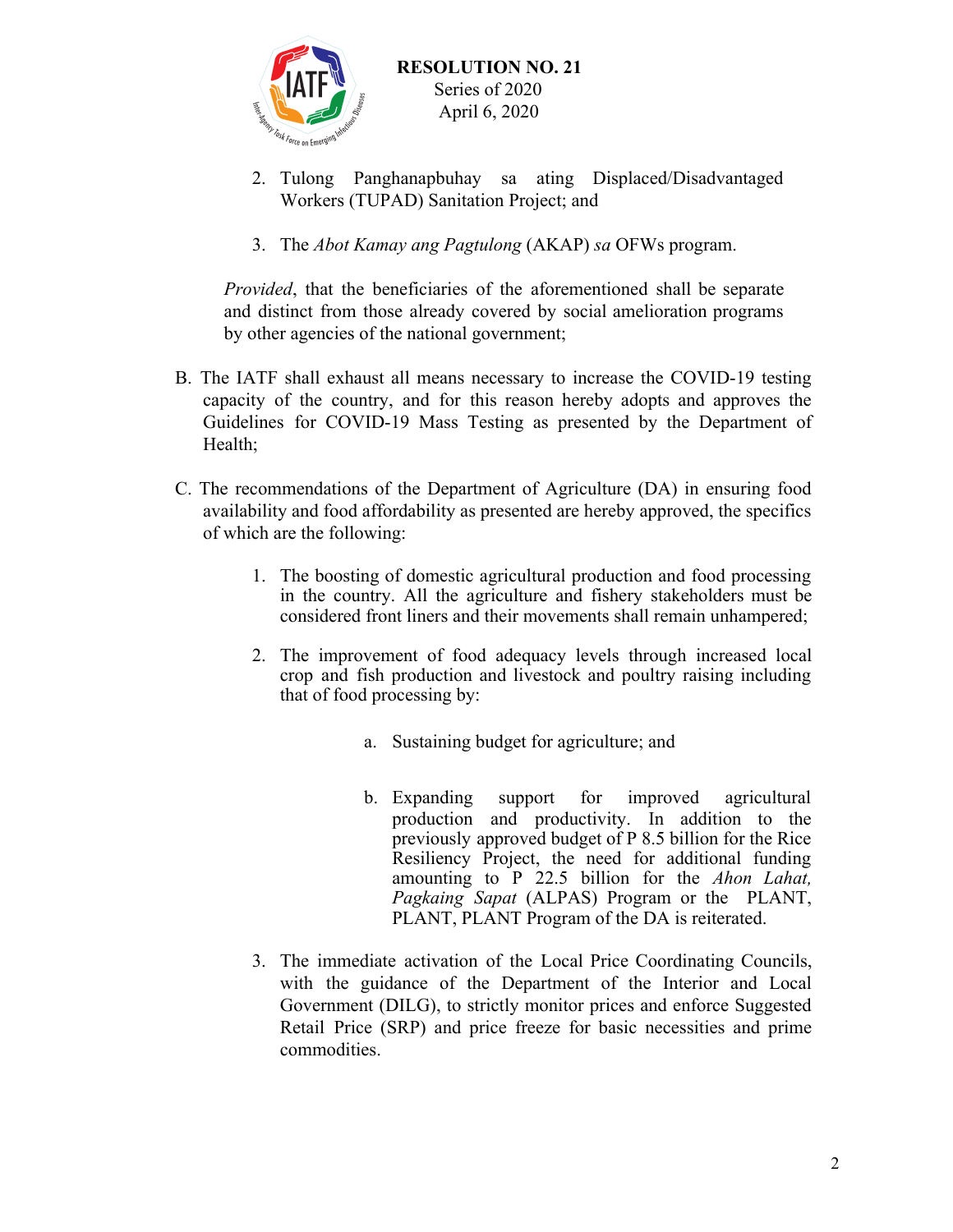

- 2. Tulong Panghanapbuhay sa ating Displaced/Disadvantaged Workers (TUPAD) Sanitation Project; and
- 3. The *Abot Kamay ang Pagtulong* (AKAP) *sa* OFWs program.

*Provided*, that the beneficiaries of the aforementioned shall be separate and distinct from those already covered by social amelioration programs by other agencies of the national government;

- B. The IATF shall exhaust all means necessary to increase the COVID-19 testing capacity of the country, and for this reason hereby adopts and approves the Guidelines for COVID-19 Mass Testing as presented by the Department of Health;
- C. The recommendations of the Department of Agriculture (DA) in ensuring food availability and food affordability as presented are hereby approved, the specifics of which are the following:
	- 1. The boosting of domestic agricultural production and food processing in the country. All the agriculture and fishery stakeholders must be considered front liners and their movements shall remain unhampered;
	- 2. The improvement of food adequacy levels through increased local crop and fish production and livestock and poultry raising including that of food processing by:
		- a. Sustaining budget for agriculture; and
		- b. Expanding support for improved agricultural production and productivity. In addition to the previously approved budget of P 8.5 billion for the Rice Resiliency Project, the need for additional funding amounting to P 22.5 billion for the *Ahon Lahat, Pagkaing Sapat* (ALPAS) Program or the PLANT, PLANT, PLANT Program of the DA is reiterated.
	- 3. The immediate activation of the Local Price Coordinating Councils, with the guidance of the Department of the Interior and Local Government (DILG), to strictly monitor prices and enforce Suggested Retail Price (SRP) and price freeze for basic necessities and prime commodities.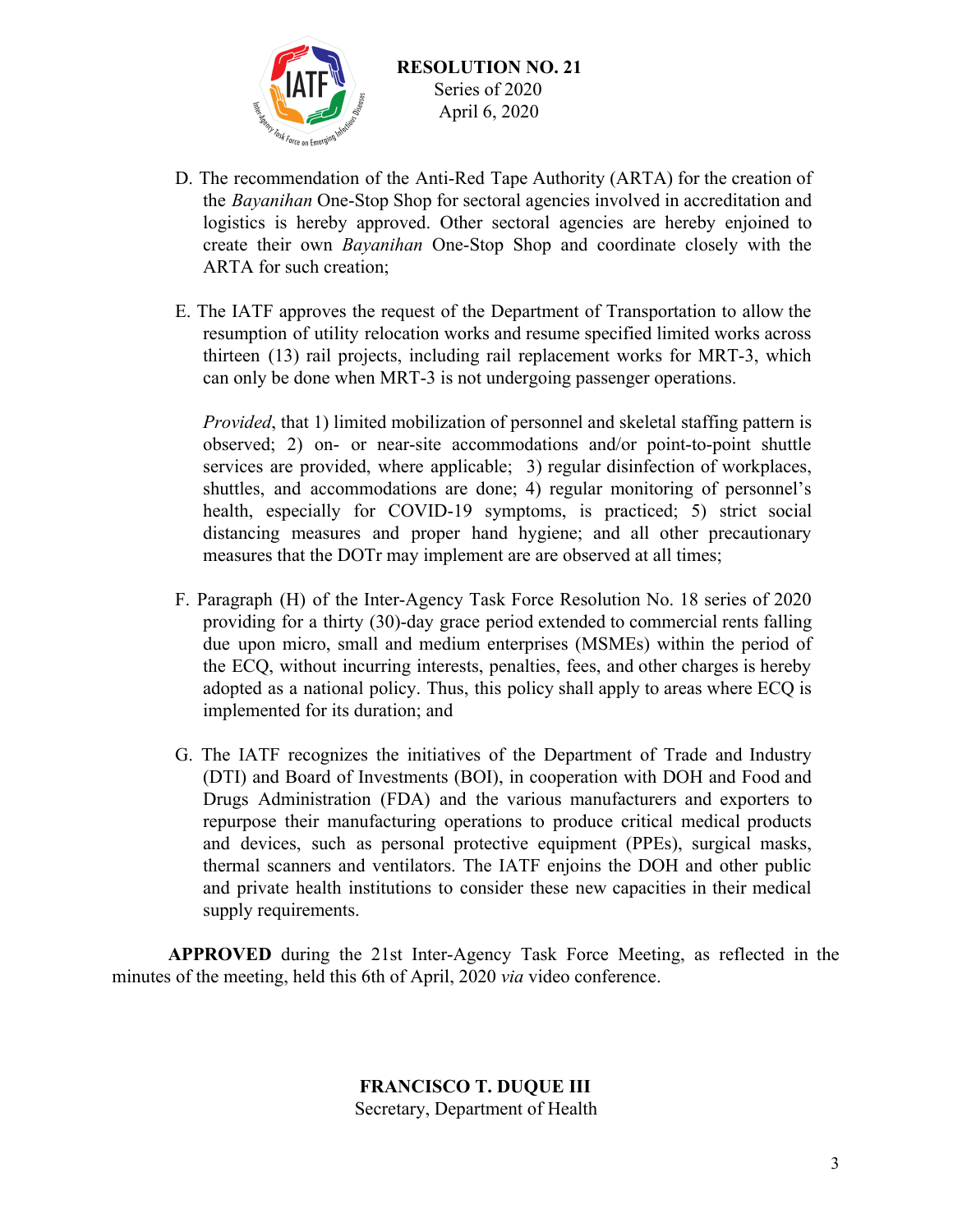

- D. The recommendation of the Anti-Red Tape Authority (ARTA) for the creation of the *Bayanihan* One-Stop Shop for sectoral agencies involved in accreditation and logistics is hereby approved. Other sectoral agencies are hereby enjoined to create their own *Bayanihan* One-Stop Shop and coordinate closely with the ARTA for such creation;
- E. The IATF approves the request of the Department of Transportation to allow the resumption of utility relocation works and resume specified limited works across thirteen (13) rail projects, including rail replacement works for MRT-3, which can only be done when MRT-3 is not undergoing passenger operations.

*Provided*, that 1) limited mobilization of personnel and skeletal staffing pattern is observed; 2) on- or near-site accommodations and/or point-to-point shuttle services are provided, where applicable; 3) regular disinfection of workplaces, shuttles, and accommodations are done; 4) regular monitoring of personnel's health, especially for COVID-19 symptoms, is practiced; 5) strict social distancing measures and proper hand hygiene; and all other precautionary measures that the DOTr may implement are are observed at all times;

- F. Paragraph (H) of the Inter-Agency Task Force Resolution No. 18 series of 2020 providing for a thirty (30)-day grace period extended to commercial rents falling due upon micro, small and medium enterprises (MSMEs) within the period of the ECQ, without incurring interests, penalties, fees, and other charges is hereby adopted as a national policy. Thus, this policy shall apply to areas where ECQ is implemented for its duration; and
- G. The IATF recognizes the initiatives of the Department of Trade and Industry (DTI) and Board of Investments (BOI), in cooperation with DOH and Food and Drugs Administration (FDA) and the various manufacturers and exporters to repurpose their manufacturing operations to produce critical medical products and devices, such as personal protective equipment (PPEs), surgical masks, thermal scanners and ventilators. The IATF enjoins the DOH and other public and private health institutions to consider these new capacities in their medical supply requirements.

**APPROVED** during the 21st Inter-Agency Task Force Meeting, as reflected in the minutes of the meeting, held this 6th of April, 2020 *via* video conference.

#### **FRANCISCO T. DUQUE III** Secretary, Department of Health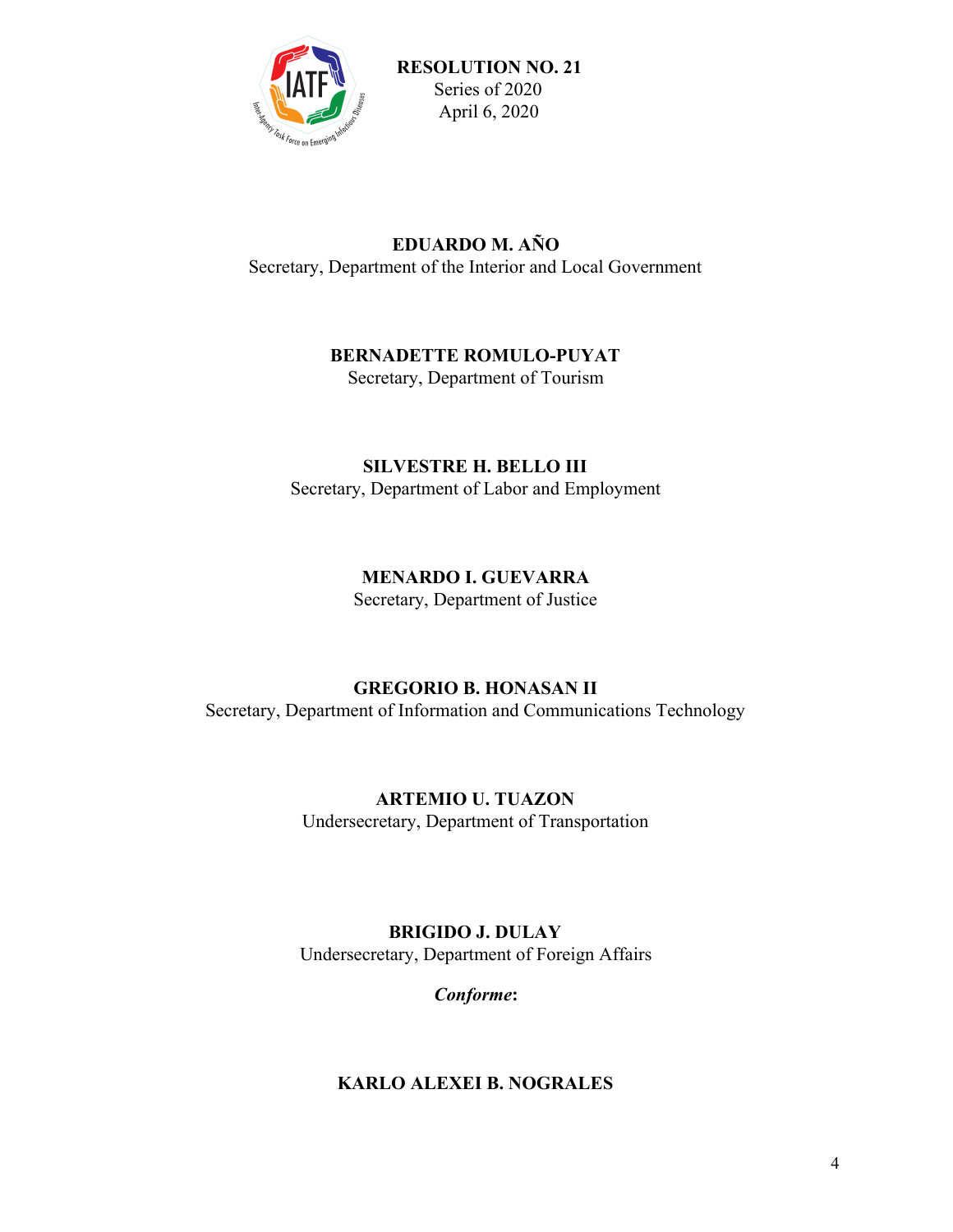

## **EDUARDO M. AÑO** Secretary, Department of the Interior and Local Government

## **BERNADETTE ROMULO-PUYAT**

Secretary, Department of Tourism

## **SILVESTRE H. BELLO III** Secretary, Department of Labor and Employment

# **MENARDO I. GUEVARRA**

Secretary, Department of Justice

# **GREGORIO B. HONASAN II**

Secretary, Department of Information and Communications Technology

# **ARTEMIO U. TUAZON**

Undersecretary, Department of Transportation

## **BRIGIDO J. DULAY** Undersecretary, Department of Foreign Affairs

*Conforme***:**

## **KARLO ALEXEI B. NOGRALES**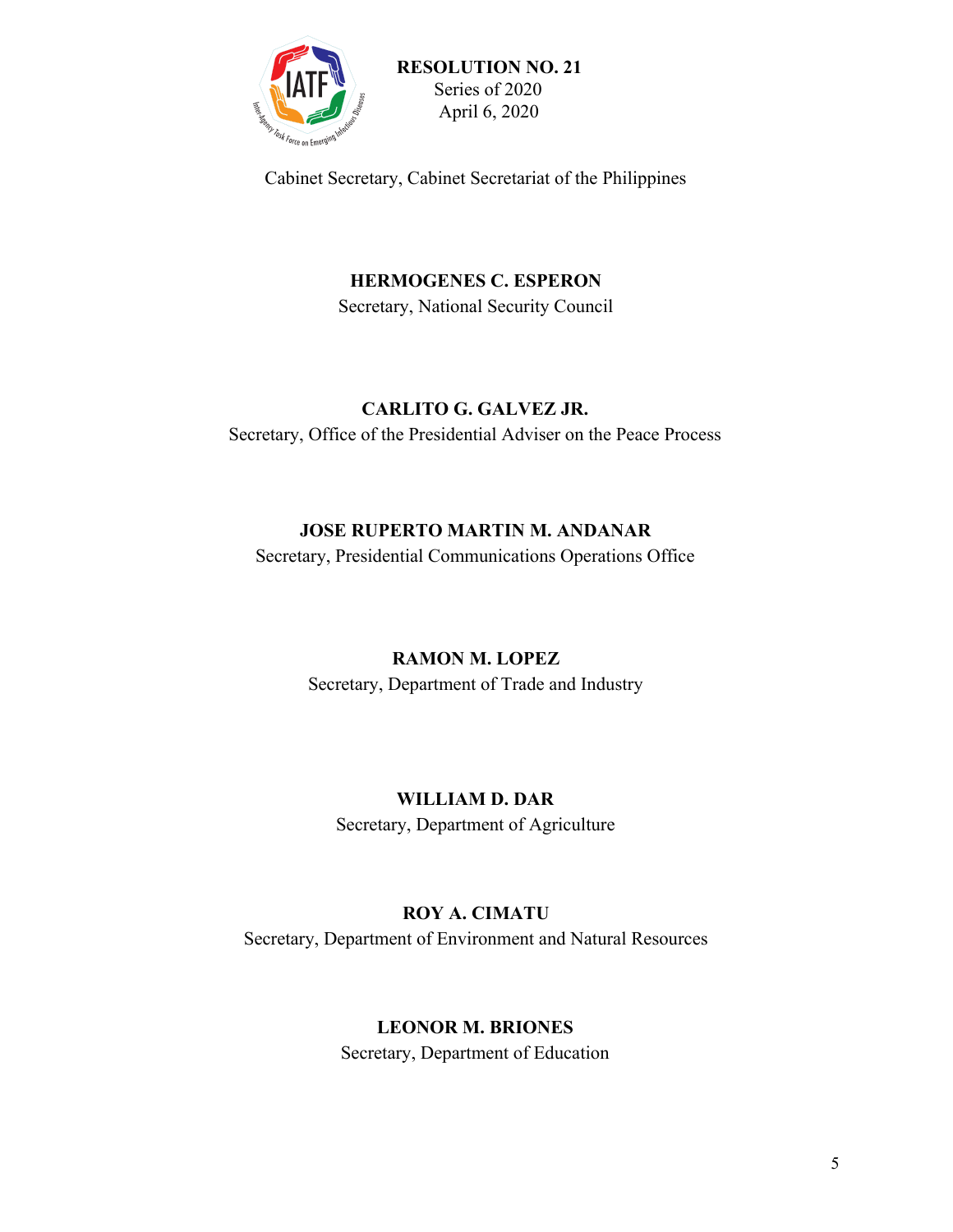

Cabinet Secretary, Cabinet Secretariat of the Philippines

**HERMOGENES C. ESPERON** Secretary, National Security Council

#### **CARLITO G. GALVEZ JR.**

Secretary, Office of the Presidential Adviser on the Peace Process

## **JOSE RUPERTO MARTIN M. ANDANAR**

Secretary, Presidential Communications Operations Office

## **RAMON M. LOPEZ**

Secretary, Department of Trade and Industry

## **WILLIAM D. DAR**

Secretary, Department of Agriculture

## **ROY A. CIMATU**

Secretary, Department of Environment and Natural Resources

## **LEONOR M. BRIONES**

Secretary, Department of Education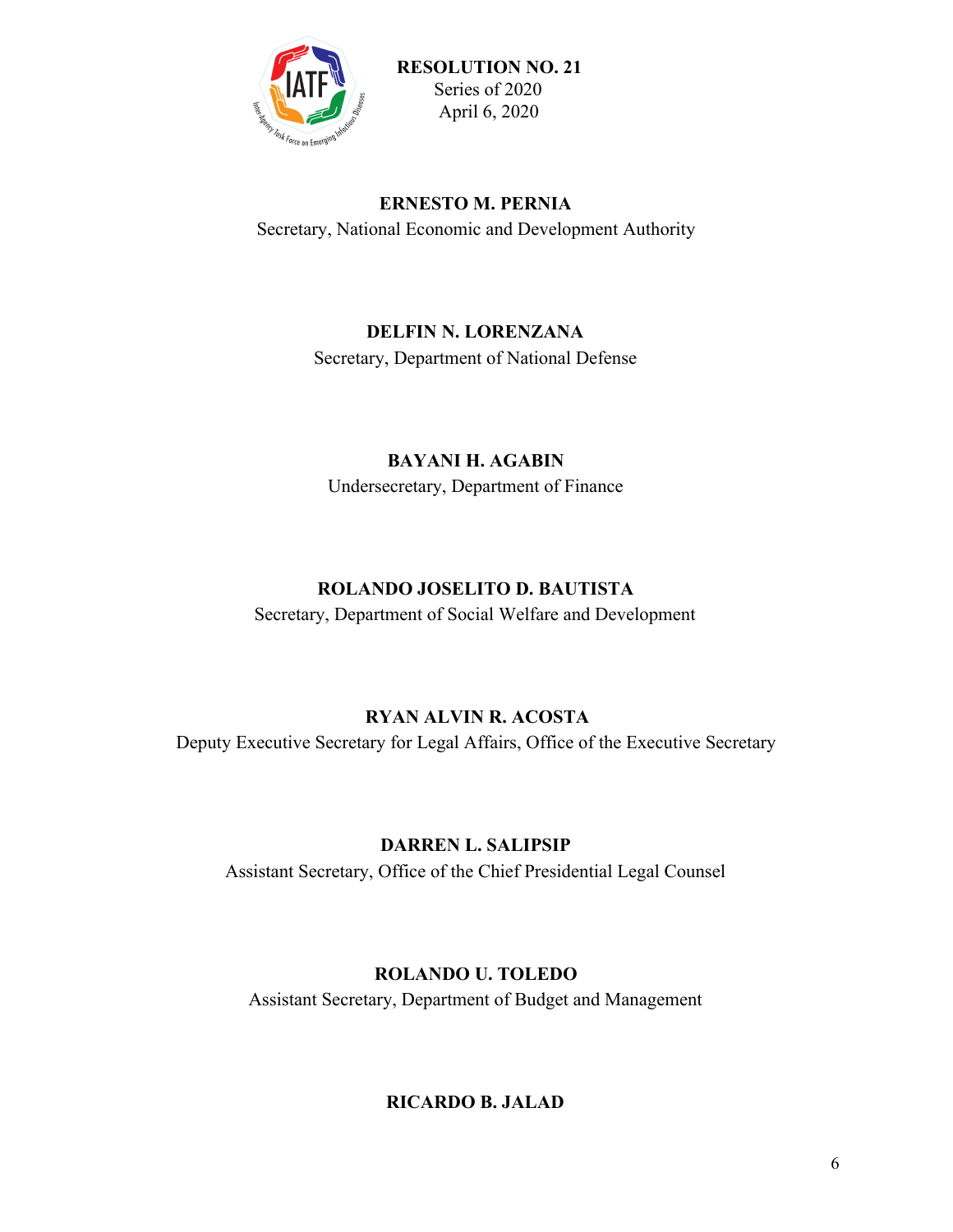

#### **ERNESTO M. PERNIA**

Secretary, National Economic and Development Authority

#### **DELFIN N. LORENZANA**

Secretary, Department of National Defense

## **BAYANI H. AGABIN**

Undersecretary, Department of Finance

## **ROLANDO JOSELITO D. BAUTISTA**

Secretary, Department of Social Welfare and Development

## **RYAN ALVIN R. ACOSTA**

Deputy Executive Secretary for Legal Affairs, Office of the Executive Secretary

## **DARREN L. SALIPSIP**

Assistant Secretary, Office of the Chief Presidential Legal Counsel

#### **ROLANDO U. TOLEDO**

Assistant Secretary, Department of Budget and Management

## **RICARDO B. JALAD**